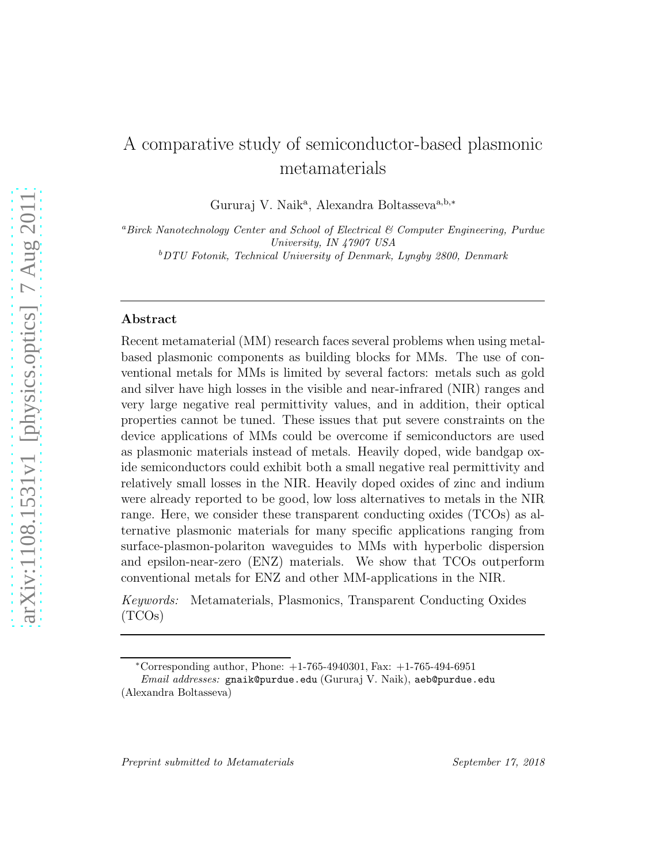# A comparative study of semiconductor-based plasmonic metamaterials

Gururaj V. Naik<sup>a</sup>, Alexandra Boltasseva<sup>a,b,\*</sup>

<sup>a</sup>Birck Nanotechnology Center and School of Electrical & Computer Engineering, Purdue University, IN 47907 USA <sup>b</sup>DTU Fotonik, Technical University of Denmark, Lyngby 2800, Denmark

## Abstract

Recent metamaterial (MM) research faces several problems when using metalbased plasmonic components as building blocks for MMs. The use of conventional metals for MMs is limited by several factors: metals such as gold and silver have high losses in the visible and near-infrared (NIR) ranges and very large negative real permittivity values, and in addition, their optical properties cannot be tuned. These issues that put severe constraints on the device applications of MMs could be overcome if semiconductors are used as plasmonic materials instead of metals. Heavily doped, wide bandgap oxide semiconductors could exhibit both a small negative real permittivity and relatively small losses in the NIR. Heavily doped oxides of zinc and indium were already reported to be good, low loss alternatives to metals in the NIR range. Here, we consider these transparent conducting oxides (TCOs) as alternative plasmonic materials for many specific applications ranging from surface-plasmon-polariton waveguides to MMs with hyperbolic dispersion and epsilon-near-zero (ENZ) materials. We show that TCOs outperform conventional metals for ENZ and other MM-applications in the NIR.

*Keywords:* Metamaterials, Plasmonics, Transparent Conducting Oxides (TCOs)

<sup>∗</sup>Corresponding author, Phone: +1-765-4940301, Fax: +1-765-494-6951

Email addresses: gnaik@purdue.edu (Gururaj V. Naik), aeb@purdue.edu (Alexandra Boltasseva)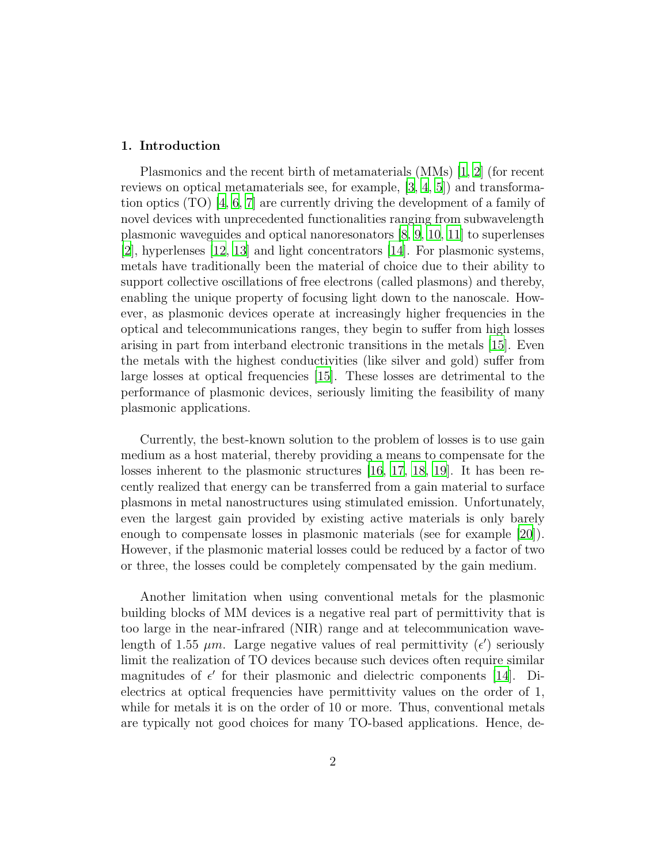# 1. Introduction

Plasmonics and the recent birth of metamaterials (MMs) [\[1](#page-11-0), [2](#page-11-1)] (for recent reviews on optical metamaterials see, for example, [\[3](#page-11-2), [4,](#page-11-3) [5\]](#page-11-4)) and transformation optics (TO) [\[4,](#page-11-3) [6](#page-11-5), [7\]](#page-11-6) are currently driving the development of a family of novel devices with unprecedented functionalities ranging from subwavelength plasmonic waveguides and optical nanoresonators [\[8,](#page-11-7) [9,](#page-11-8) [10](#page-12-0), [11](#page-12-1)] to superlenses [\[2\]](#page-11-1), hyperlenses [\[12](#page-12-2), [13\]](#page-12-3) and light concentrators [\[14\]](#page-12-4). For plasmonic systems, metals have traditionally been the material of choice due to their ability to support collective oscillations of free electrons (called plasmons) and thereby, enabling the unique property of focusing light down to the nanoscale. However, as plasmonic devices operate at increasingly higher frequencies in the optical and telecommunications ranges, they begin to suffer from high losses arising in part from interband electronic transitions in the metals [\[15](#page-12-5)]. Even the metals with the highest conductivities (like silver and gold) suffer from large losses at optical frequencies [\[15\]](#page-12-5). These losses are detrimental to the performance of plasmonic devices, seriously limiting the feasibility of many plasmonic applications.

Currently, the best-known solution to the problem of losses is to use gain medium as a host material, thereby providing a means to compensate for the losses inherent to the plasmonic structures [\[16](#page-12-6), [17,](#page-12-7) [18,](#page-12-8) [19](#page-12-9)]. It has been recently realized that energy can be transferred from a gain material to surface plasmons in metal nanostructures using stimulated emission. Unfortunately, even the largest gain provided by existing active materials is only barely enough to compensate losses in plasmonic materials (see for example [\[20](#page-12-10)]). However, if the plasmonic material losses could be reduced by a factor of two or three, the losses could be completely compensated by the gain medium.

Another limitation when using conventional metals for the plasmonic building blocks of MM devices is a negative real part of permittivity that is too large in the near-infrared (NIR) range and at telecommunication wavelength of 1.55  $\mu$ m. Large negative values of real permittivity  $(\epsilon')$  seriously limit the realization of TO devices because such devices often require similar magnitudes of  $\epsilon'$  for their plasmonic and dielectric components [\[14](#page-12-4)]. Dielectrics at optical frequencies have permittivity values on the order of 1, while for metals it is on the order of 10 or more. Thus, conventional metals are typically not good choices for many TO-based applications. Hence, de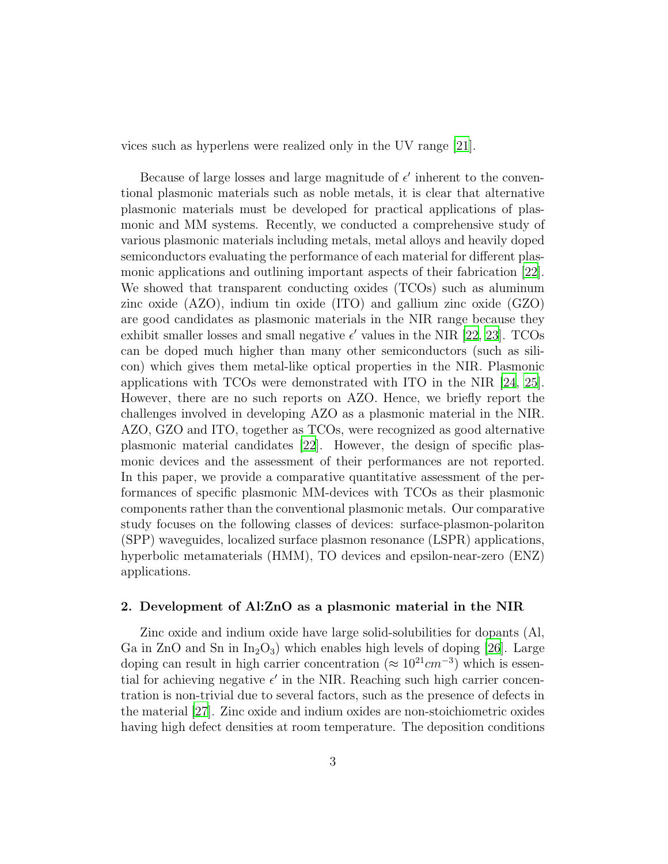vices such as hyperlens were realized only in the UV range [\[21](#page-12-11)].

Because of large losses and large magnitude of  $\epsilon'$  inherent to the conventional plasmonic materials such as noble metals, it is clear that alternative plasmonic materials must be developed for practical applications of plasmonic and MM systems. Recently, we conducted a comprehensive study of various plasmonic materials including metals, metal alloys and heavily doped semiconductors evaluating the performance of each material for different plasmonic applications and outlining important aspects of their fabrication [\[22\]](#page-13-0). We showed that transparent conducting oxides (TCOs) such as aluminum zinc oxide (AZO), indium tin oxide (ITO) and gallium zinc oxide (GZO) are good candidates as plasmonic materials in the NIR range because they exhibit smaller losses and small negative  $\epsilon'$  values in the NIR [\[22,](#page-13-0) [23](#page-13-1)]. TCOs can be doped much higher than many other semiconductors (such as silicon) which gives them metal-like optical properties in the NIR. Plasmonic applications with TCOs were demonstrated with ITO in the NIR [\[24](#page-13-2), [25\]](#page-13-3). However, there are no such reports on AZO. Hence, we briefly report the challenges involved in developing AZO as a plasmonic material in the NIR. AZO, GZO and ITO, together as TCOs, were recognized as good alternative plasmonic material candidates [\[22\]](#page-13-0). However, the design of specific plasmonic devices and the assessment of their performances are not reported. In this paper, we provide a comparative quantitative assessment of the performances of specific plasmonic MM-devices with TCOs as their plasmonic components rather than the conventional plasmonic metals. Our comparative study focuses on the following classes of devices: surface-plasmon-polariton (SPP) waveguides, localized surface plasmon resonance (LSPR) applications, hyperbolic metamaterials (HMM), TO devices and epsilon-near-zero (ENZ) applications.

## 2. Development of Al:ZnO as a plasmonic material in the NIR

Zinc oxide and indium oxide have large solid-solubilities for dopants (Al, Ga in ZnO and Sn in  $In_2O_3$ ) which enables high levels of doping [\[26\]](#page-13-4). Large doping can result in high carrier concentration ( $\approx 10^{21} cm^{-3}$ ) which is essential for achieving negative  $\epsilon'$  in the NIR. Reaching such high carrier concentration is non-trivial due to several factors, such as the presence of defects in the material [\[27\]](#page-13-5). Zinc oxide and indium oxides are non-stoichiometric oxides having high defect densities at room temperature. The deposition conditions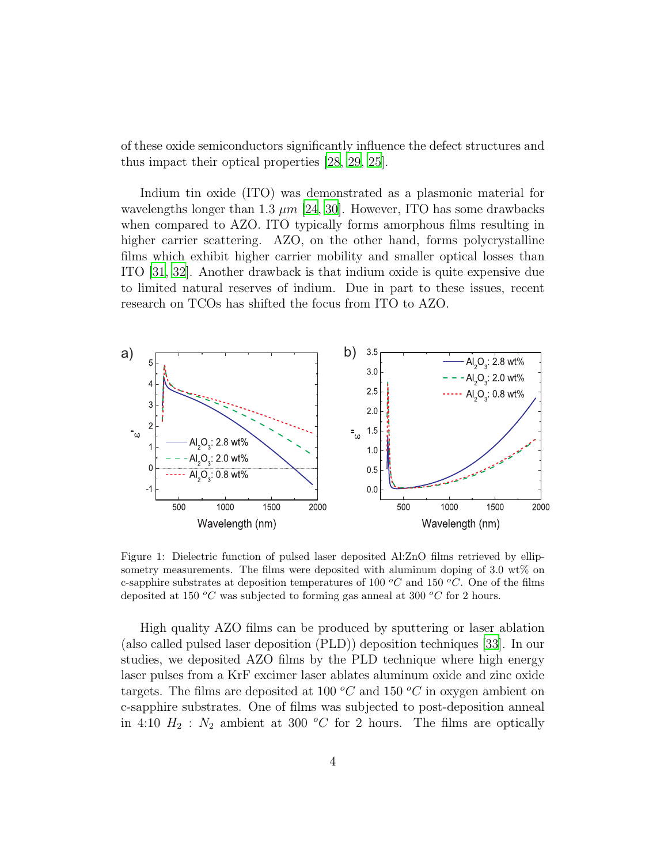of these oxide semiconductors significantly influence the defect structures and thus impact their optical properties [\[28,](#page-13-6) [29,](#page-13-7) [25\]](#page-13-3).

Indium tin oxide (ITO) was demonstrated as a plasmonic material for wavelengths longer than 1.3  $\mu$ m [\[24](#page-13-2), [30\]](#page-13-8). However, ITO has some drawbacks when compared to AZO. ITO typically forms amorphous films resulting in higher carrier scattering. AZO, on the other hand, forms polycrystalline films which exhibit higher carrier mobility and smaller optical losses than ITO [\[31](#page-13-9), [32](#page-14-0)]. Another drawback is that indium oxide is quite expensive due to limited natural reserves of indium. Due in part to these issues, recent research on TCOs has shifted the focus from ITO to AZO.



<span id="page-3-0"></span>Figure 1: Dielectric function of pulsed laser deposited Al:ZnO films retrieved by ellipsometry measurements. The films were deposited with aluminum doping of 3.0 wt% on c-sapphire substrates at deposition temperatures of 100  $^{\circ}C$  and 150  $^{\circ}C$ . One of the films deposited at 150  $^{\circ}C$  was subjected to forming gas anneal at 300  $^{\circ}C$  for 2 hours.

High quality AZO films can be produced by sputtering or laser ablation (also called pulsed laser deposition (PLD)) deposition techniques [\[33](#page-14-1)]. In our studies, we deposited AZO films by the PLD technique where high energy laser pulses from a KrF excimer laser ablates aluminum oxide and zinc oxide targets. The films are deposited at 100  $^{\circ}C$  and 150  $^{\circ}C$  in oxygen ambient on c-sapphire substrates. One of films was subjected to post-deposition anneal in 4:10  $H_2$  :  $N_2$  ambient at 300 °C for 2 hours. The films are optically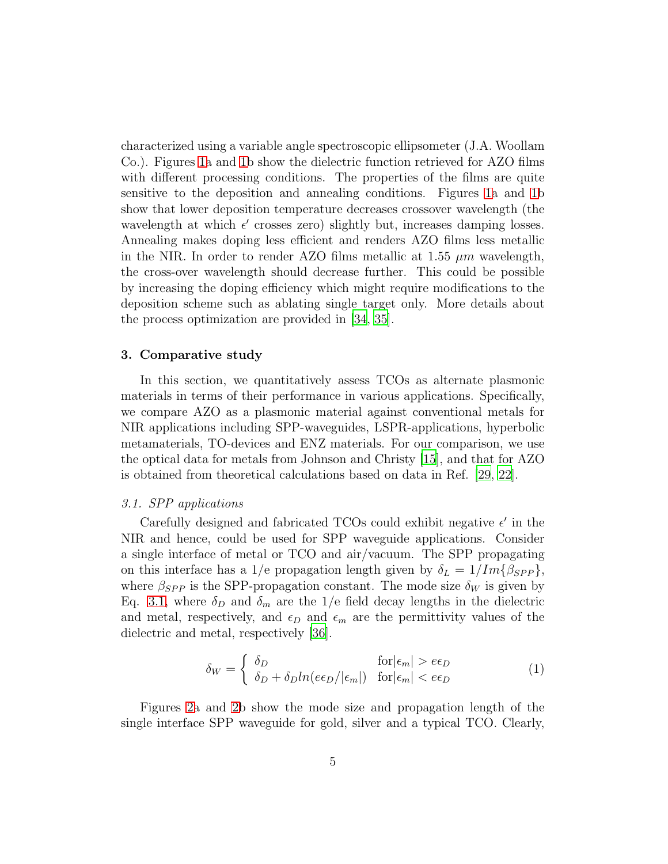characterized using a variable angle spectroscopic ellipsometer (J.A. Woollam Co.). Figures [1a](#page-3-0) and [1b](#page-3-0) show the dielectric function retrieved for AZO films with different processing conditions. The properties of the films are quite sensitive to the deposition and annealing conditions. Figures [1a](#page-3-0) and [1b](#page-3-0) show that lower deposition temperature decreases crossover wavelength (the wavelength at which  $\epsilon'$  crosses zero) slightly but, increases damping losses. Annealing makes doping less efficient and renders AZO films less metallic in the NIR. In order to render AZO films metallic at 1.55  $\mu$ m wavelength, the cross-over wavelength should decrease further. This could be possible by increasing the doping efficiency which might require modifications to the deposition scheme such as ablating single target only. More details about the process optimization are provided in [\[34](#page-14-2), [35](#page-14-3)].

# 3. Comparative study

In this section, we quantitatively assess TCOs as alternate plasmonic materials in terms of their performance in various applications. Specifically, we compare AZO as a plasmonic material against conventional metals for NIR applications including SPP-waveguides, LSPR-applications, hyperbolic metamaterials, TO-devices and ENZ materials. For our comparison, we use the optical data for metals from Johnson and Christy [\[15\]](#page-12-5), and that for AZO is obtained from theoretical calculations based on data in Ref. [\[29,](#page-13-7) [22\]](#page-13-0).

## *3.1. SPP applications*

Carefully designed and fabricated TCOs could exhibit negative  $\epsilon'$  in the NIR and hence, could be used for SPP waveguide applications. Consider a single interface of metal or TCO and air/vacuum. The SPP propagating on this interface has a 1/e propagation length given by  $\delta_L = 1/Im\{\beta_{SPP}\},\,$ where  $\beta_{SPP}$  is the SPP-propagation constant. The mode size  $\delta_W$  is given by Eq. [3.1,](#page-4-0) where  $\delta_D$  and  $\delta_m$  are the 1/e field decay lengths in the dielectric and metal, respectively, and  $\epsilon_D$  and  $\epsilon_m$  are the permittivity values of the dielectric and metal, respectively [\[36](#page-14-4)].

<span id="page-4-0"></span>
$$
\delta_W = \begin{cases} \delta_D & \text{for } |\epsilon_m| > e\epsilon_D\\ \delta_D + \delta_D ln(e\epsilon_D/|\epsilon_m|) & \text{for } |\epsilon_m| < e\epsilon_D \end{cases}
$$
(1)

Figures [2a](#page-5-0) and [2b](#page-5-0) show the mode size and propagation length of the single interface SPP waveguide for gold, silver and a typical TCO. Clearly,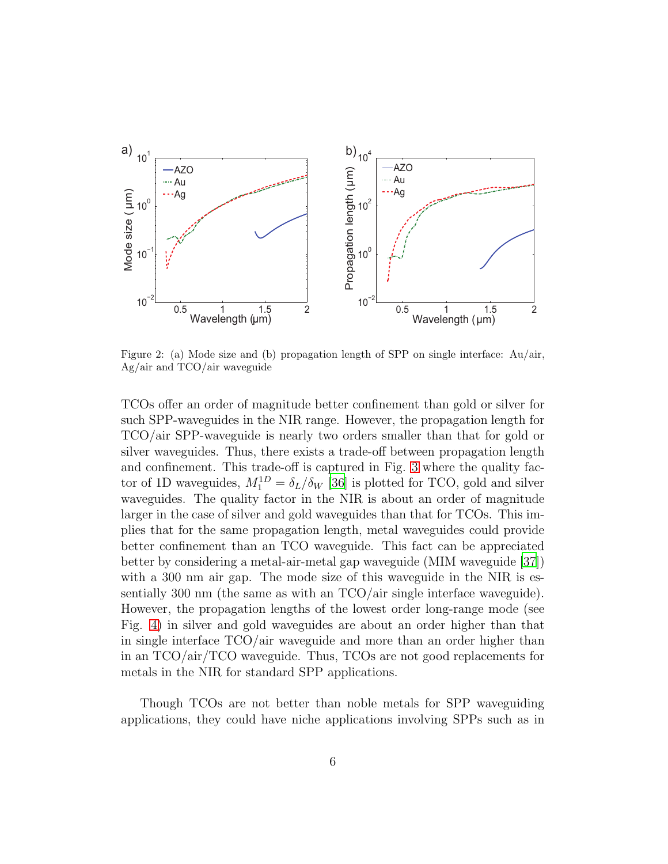

<span id="page-5-0"></span>Figure 2: (a) Mode size and (b) propagation length of SPP on single interface: Au/air, Ag/air and TCO/air waveguide

TCOs offer an order of magnitude better confinement than gold or silver for such SPP-waveguides in the NIR range. However, the propagation length for TCO/air SPP-waveguide is nearly two orders smaller than that for gold or silver waveguides. Thus, there exists a trade-off between propagation length and confinement. This trade-off is captured in Fig. [3](#page-6-0) where the quality factor of 1D waveguides,  $M_1^{1D} = \delta_L/\delta_W$  [\[36\]](#page-14-4) is plotted for TCO, gold and silver waveguides. The quality factor in the NIR is about an order of magnitude larger in the case of silver and gold waveguides than that for TCOs. This implies that for the same propagation length, metal waveguides could provide better confinement than an TCO waveguide. This fact can be appreciated better by considering a metal-air-metal gap waveguide (MIM waveguide [\[37\]](#page-14-5)) with a 300 nm air gap. The mode size of this waveguide in the NIR is essentially 300 nm (the same as with an TCO/air single interface waveguide). However, the propagation lengths of the lowest order long-range mode (see Fig. [4\)](#page-7-0) in silver and gold waveguides are about an order higher than that in single interface TCO/air waveguide and more than an order higher than in an TCO/air/TCO waveguide. Thus, TCOs are not good replacements for metals in the NIR for standard SPP applications.

Though TCOs are not better than noble metals for SPP waveguiding applications, they could have niche applications involving SPPs such as in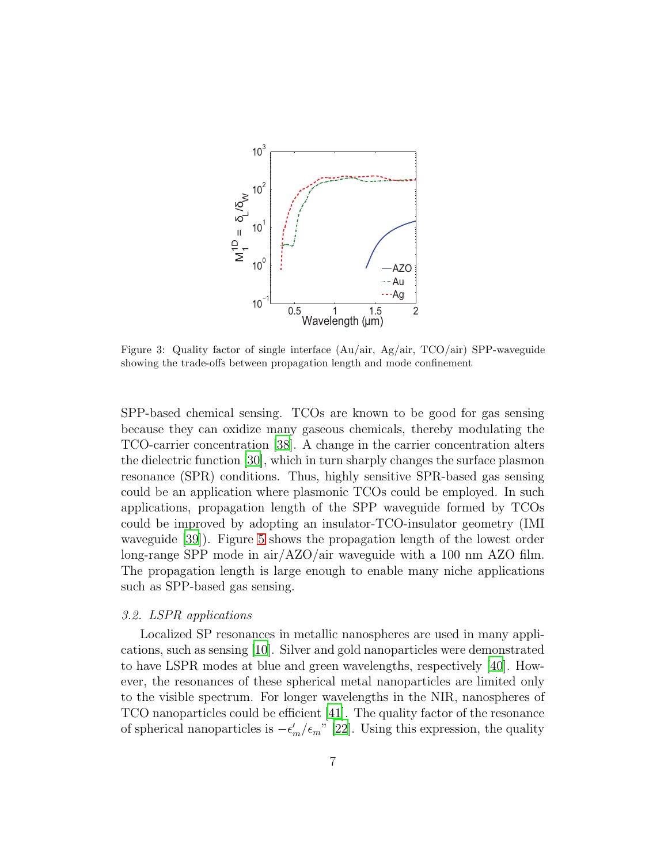

<span id="page-6-0"></span>Figure 3: Quality factor of single interface  $(Au/air, Ag/air, TCO/air)$  SPP-waveguide showing the trade-offs between propagation length and mode confinement

SPP-based chemical sensing. TCOs are known to be good for gas sensing because they can oxidize many gaseous chemicals, thereby modulating the TCO-carrier concentration [\[38\]](#page-14-6). A change in the carrier concentration alters the dielectric function [\[30](#page-13-8)], which in turn sharply changes the surface plasmon resonance (SPR) conditions. Thus, highly sensitive SPR-based gas sensing could be an application where plasmonic TCOs could be employed. In such applications, propagation length of the SPP waveguide formed by TCOs could be improved by adopting an insulator-TCO-insulator geometry (IMI waveguide [\[39](#page-14-7)]). Figure [5](#page-8-0) shows the propagation length of the lowest order long-range SPP mode in air/AZO/air waveguide with a 100 nm AZO film. The propagation length is large enough to enable many niche applications such as SPP-based gas sensing.

# *3.2. LSPR applications*

Localized SP resonances in metallic nanospheres are used in many applications, such as sensing [\[10](#page-12-0)]. Silver and gold nanoparticles were demonstrated to have LSPR modes at blue and green wavelengths, respectively [\[40](#page-14-8)]. However, the resonances of these spherical metal nanoparticles are limited only to the visible spectrum. For longer wavelengths in the NIR, nanospheres of TCO nanoparticles could be efficient [\[41\]](#page-14-9). The quality factor of the resonance of spherical nanoparticles is  $-\epsilon'_{m}/\epsilon_{m}$ " [\[22\]](#page-13-0). Using this expression, the quality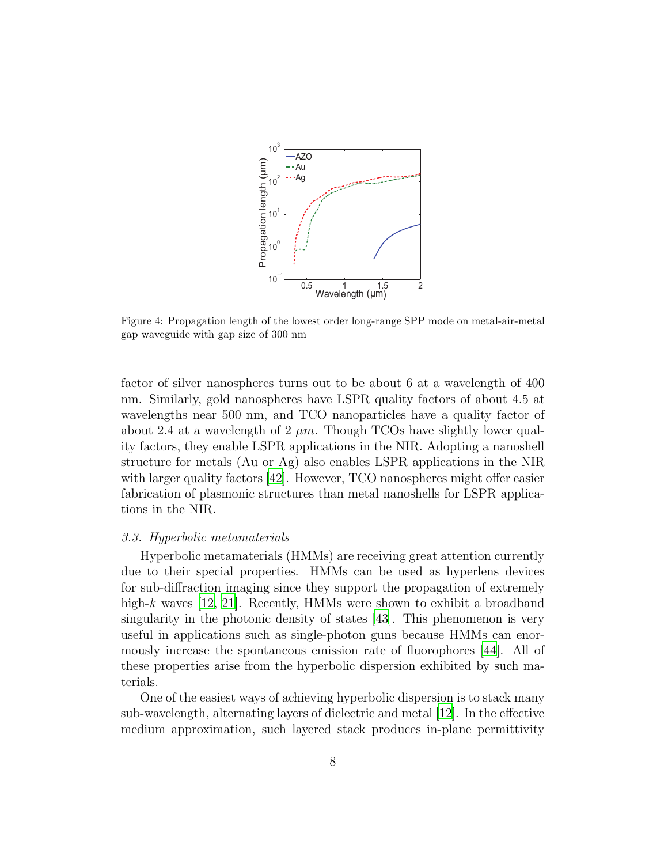

<span id="page-7-0"></span>Figure 4: Propagation length of the lowest order long-range SPP mode on metal-air-metal gap waveguide with gap size of 300 nm

factor of silver nanospheres turns out to be about 6 at a wavelength of 400 nm. Similarly, gold nanospheres have LSPR quality factors of about 4.5 at wavelengths near 500 nm, and TCO nanoparticles have a quality factor of about 2.4 at a wavelength of 2  $\mu$ m. Though TCOs have slightly lower quality factors, they enable LSPR applications in the NIR. Adopting a nanoshell structure for metals (Au or Ag) also enables LSPR applications in the NIR with larger quality factors [\[42\]](#page-15-0). However, TCO nanospheres might offer easier fabrication of plasmonic structures than metal nanoshells for LSPR applications in the NIR.

## *3.3. Hyperbolic metamaterials*

Hyperbolic metamaterials (HMMs) are receiving great attention currently due to their special properties. HMMs can be used as hyperlens devices for sub-diffraction imaging since they support the propagation of extremely high-*k* waves [\[12](#page-12-2), [21](#page-12-11)]. Recently, HMMs were shown to exhibit a broadband singularity in the photonic density of states [\[43](#page-15-1)]. This phenomenon is very useful in applications such as single-photon guns because HMMs can enormously increase the spontaneous emission rate of fluorophores [\[44](#page-15-2)]. All of these properties arise from the hyperbolic dispersion exhibited by such materials.

One of the easiest ways of achieving hyperbolic dispersion is to stack many sub-wavelength, alternating layers of dielectric and metal [\[12](#page-12-2)]. In the effective medium approximation, such layered stack produces in-plane permittivity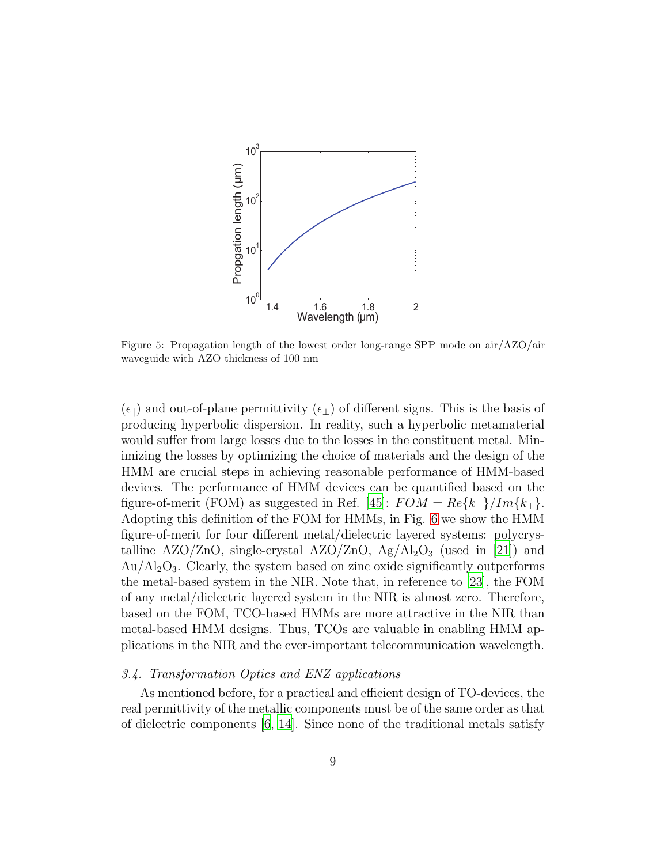

<span id="page-8-0"></span>Figure 5: Propagation length of the lowest order long-range SPP mode on air/AZO/air waveguide with AZO thickness of 100 nm

 $(\epsilon_{\parallel})$  and out-of-plane permittivity  $(\epsilon_{\perp})$  of different signs. This is the basis of producing hyperbolic dispersion. In reality, such a hyperbolic metamaterial would suffer from large losses due to the losses in the constituent metal. Minimizing the losses by optimizing the choice of materials and the design of the HMM are crucial steps in achieving reasonable performance of HMM-based devices. The performance of HMM devices can be quantified based on the figure-of-merit (FOM) as suggested in Ref. [\[45](#page-15-3)]:  $FOM = Re\{k_{\perp}\}/Im\{k_{\perp}\}.$ Adopting this definition of the FOM for HMMs, in Fig. [6](#page-9-0) we show the HMM figure-of-merit for four different metal/dielectric layered systems: polycrystalline  $A ZO/ZnO$ , single-crystal  $A ZO/ZnO$ ,  $A g/Al_2O_3$  (used in [\[21\]](#page-12-11)) and  $Au/Al_2O_3$ . Clearly, the system based on zinc oxide significantly outperforms the metal-based system in the NIR. Note that, in reference to [\[23](#page-13-1)], the FOM of any metal/dielectric layered system in the NIR is almost zero. Therefore, based on the FOM, TCO-based HMMs are more attractive in the NIR than metal-based HMM designs. Thus, TCOs are valuable in enabling HMM applications in the NIR and the ever-important telecommunication wavelength.

## *3.4. Transformation Optics and ENZ applications*

As mentioned before, for a practical and efficient design of TO-devices, the real permittivity of the metallic components must be of the same order as that of dielectric components [\[6](#page-11-5), [14](#page-12-4)]. Since none of the traditional metals satisfy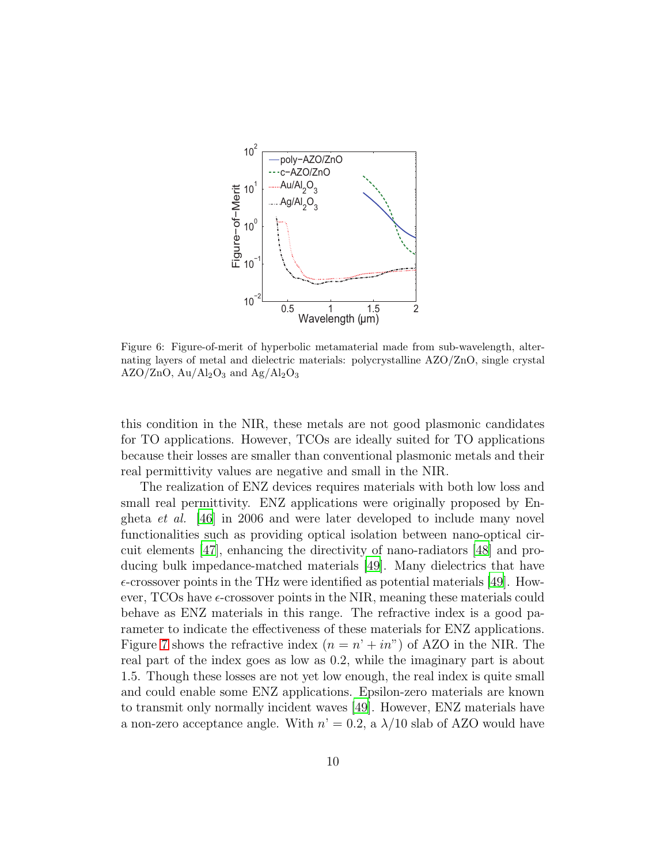

<span id="page-9-0"></span>Figure 6: Figure-of-merit of hyperbolic metamaterial made from sub-wavelength, alternating layers of metal and dielectric materials: polycrystalline AZO/ZnO, single crystal  $AZO/ZnO$ ,  $Au/Al_2O_3$  and  $Ag/Al_2O_3$ 

this condition in the NIR, these metals are not good plasmonic candidates for TO applications. However, TCOs are ideally suited for TO applications because their losses are smaller than conventional plasmonic metals and their real permittivity values are negative and small in the NIR.

The realization of ENZ devices requires materials with both low loss and small real permittivity. ENZ applications were originally proposed by Engheta *et al.* [\[46\]](#page-15-4) in 2006 and were later developed to include many novel functionalities such as providing optical isolation between nano-optical circuit elements [\[47\]](#page-15-5), enhancing the directivity of nano-radiators [\[48](#page-15-6)] and producing bulk impedance-matched materials [\[49](#page-15-7)]. Many dielectrics that have  $\epsilon$ -crossover points in the THz were identified as potential materials [\[49](#page-15-7)]. However, TCOs have  $\epsilon$ -crossover points in the NIR, meaning these materials could behave as ENZ materials in this range. The refractive index is a good parameter to indicate the effectiveness of these materials for ENZ applications. Figure [7](#page-10-0) shows the refractive index  $(n = n' + in'')$  of AZO in the NIR. The real part of the index goes as low as 0.2, while the imaginary part is about 1.5. Though these losses are not yet low enough, the real index is quite small and could enable some ENZ applications. Epsilon-zero materials are known to transmit only normally incident waves [\[49](#page-15-7)]. However, ENZ materials have a non-zero acceptance angle. With  $n' = 0.2$ , a  $\lambda/10$  slab of AZO would have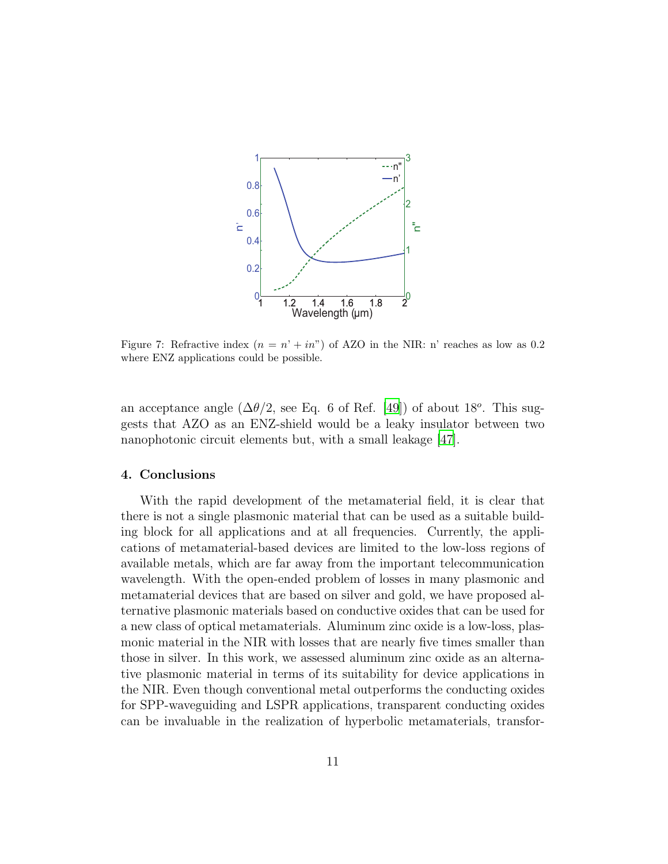

<span id="page-10-0"></span>Figure 7: Refractive index  $(n = n' + in'')$  of AZO in the NIR: n' reaches as low as 0.2 where ENZ applications could be possible.

an acceptance angle  $(\Delta\theta/2)$ , see Eq. 6 of Ref. [\[49\]](#page-15-7)) of about 18<sup>o</sup>. This suggests that AZO as an ENZ-shield would be a leaky insulator between two nanophotonic circuit elements but, with a small leakage [\[47](#page-15-5)].

## 4. Conclusions

With the rapid development of the metamaterial field, it is clear that there is not a single plasmonic material that can be used as a suitable building block for all applications and at all frequencies. Currently, the applications of metamaterial-based devices are limited to the low-loss regions of available metals, which are far away from the important telecommunication wavelength. With the open-ended problem of losses in many plasmonic and metamaterial devices that are based on silver and gold, we have proposed alternative plasmonic materials based on conductive oxides that can be used for a new class of optical metamaterials. Aluminum zinc oxide is a low-loss, plasmonic material in the NIR with losses that are nearly five times smaller than those in silver. In this work, we assessed aluminum zinc oxide as an alternative plasmonic material in terms of its suitability for device applications in the NIR. Even though conventional metal outperforms the conducting oxides for SPP-waveguiding and LSPR applications, transparent conducting oxides can be invaluable in the realization of hyperbolic metamaterials, transfor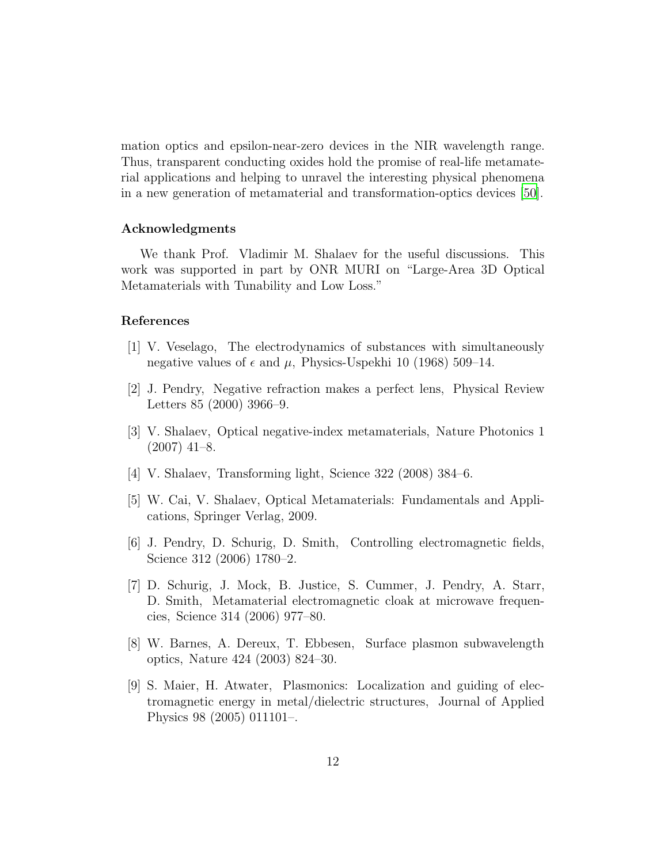mation optics and epsilon-near-zero devices in the NIR wavelength range. Thus, transparent conducting oxides hold the promise of real-life metamaterial applications and helping to unravel the interesting physical phenomena in a new generation of metamaterial and transformation-optics devices [\[50\]](#page-15-8).

## Acknowledgments

We thank Prof. Vladimir M. Shalaev for the useful discussions. This work was supported in part by ONR MURI on "Large-Area 3D Optical Metamaterials with Tunability and Low Loss."

## References

- <span id="page-11-0"></span>[1] V. Veselago, The electrodynamics of substances with simultaneously negative values of  $\epsilon$  and  $\mu$ , Physics-Uspekhi 10 (1968) 509–14.
- <span id="page-11-1"></span>[2] J. Pendry, Negative refraction makes a perfect lens, Physical Review Letters 85 (2000) 3966–9.
- <span id="page-11-2"></span>[3] V. Shalaev, Optical negative-index metamaterials, Nature Photonics 1  $(2007)$  41–8.
- <span id="page-11-3"></span>[4] V. Shalaev, Transforming light, Science 322 (2008) 384–6.
- <span id="page-11-4"></span>[5] W. Cai, V. Shalaev, Optical Metamaterials: Fundamentals and Applications, Springer Verlag, 2009.
- <span id="page-11-5"></span>[6] J. Pendry, D. Schurig, D. Smith, Controlling electromagnetic fields, Science 312 (2006) 1780–2.
- <span id="page-11-6"></span>[7] D. Schurig, J. Mock, B. Justice, S. Cummer, J. Pendry, A. Starr, D. Smith, Metamaterial electromagnetic cloak at microwave frequencies, Science 314 (2006) 977–80.
- <span id="page-11-7"></span>[8] W. Barnes, A. Dereux, T. Ebbesen, Surface plasmon subwavelength optics, Nature 424 (2003) 824–30.
- <span id="page-11-8"></span>[9] S. Maier, H. Atwater, Plasmonics: Localization and guiding of electromagnetic energy in metal/dielectric structures, Journal of Applied Physics 98 (2005) 011101–.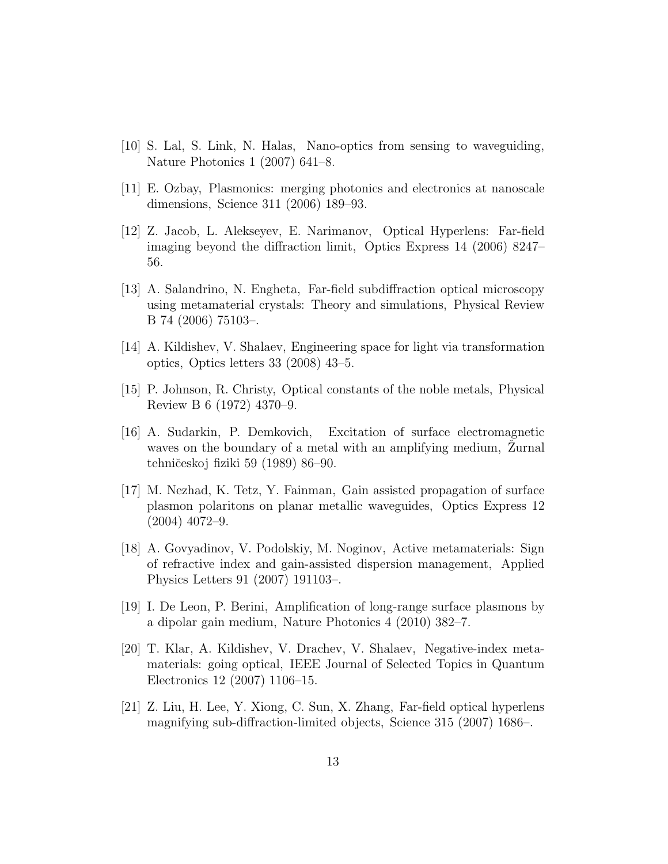- <span id="page-12-0"></span>[10] S. Lal, S. Link, N. Halas, Nano-optics from sensing to waveguiding, Nature Photonics 1 (2007) 641–8.
- <span id="page-12-1"></span>[11] E. Ozbay, Plasmonics: merging photonics and electronics at nanoscale dimensions, Science 311 (2006) 189–93.
- <span id="page-12-2"></span>[12] Z. Jacob, L. Alekseyev, E. Narimanov, Optical Hyperlens: Far-field imaging beyond the diffraction limit, Optics Express 14 (2006) 8247– 56.
- <span id="page-12-3"></span>[13] A. Salandrino, N. Engheta, Far-field subdiffraction optical microscopy using metamaterial crystals: Theory and simulations, Physical Review B 74 (2006) 75103–.
- <span id="page-12-4"></span>[14] A. Kildishev, V. Shalaev, Engineering space for light via transformation optics, Optics letters 33 (2008) 43–5.
- <span id="page-12-5"></span>[15] P. Johnson, R. Christy, Optical constants of the noble metals, Physical Review B 6 (1972) 4370–9.
- <span id="page-12-6"></span>[16] A. Sudarkin, P. Demkovich, Excitation of surface electromagnetic waves on the boundary of a metal with an amplifying medium, Zurnal tehničeskoj fiziki 59 (1989) 86–90.
- <span id="page-12-7"></span>[17] M. Nezhad, K. Tetz, Y. Fainman, Gain assisted propagation of surface plasmon polaritons on planar metallic waveguides, Optics Express 12 (2004) 4072–9.
- <span id="page-12-8"></span>[18] A. Govyadinov, V. Podolskiy, M. Noginov, Active metamaterials: Sign of refractive index and gain-assisted dispersion management, Applied Physics Letters 91 (2007) 191103–.
- <span id="page-12-9"></span>[19] I. De Leon, P. Berini, Amplification of long-range surface plasmons by a dipolar gain medium, Nature Photonics 4 (2010) 382–7.
- <span id="page-12-10"></span>[20] T. Klar, A. Kildishev, V. Drachev, V. Shalaev, Negative-index metamaterials: going optical, IEEE Journal of Selected Topics in Quantum Electronics 12 (2007) 1106–15.
- <span id="page-12-11"></span>[21] Z. Liu, H. Lee, Y. Xiong, C. Sun, X. Zhang, Far-field optical hyperlens magnifying sub-diffraction-limited objects, Science 315 (2007) 1686–.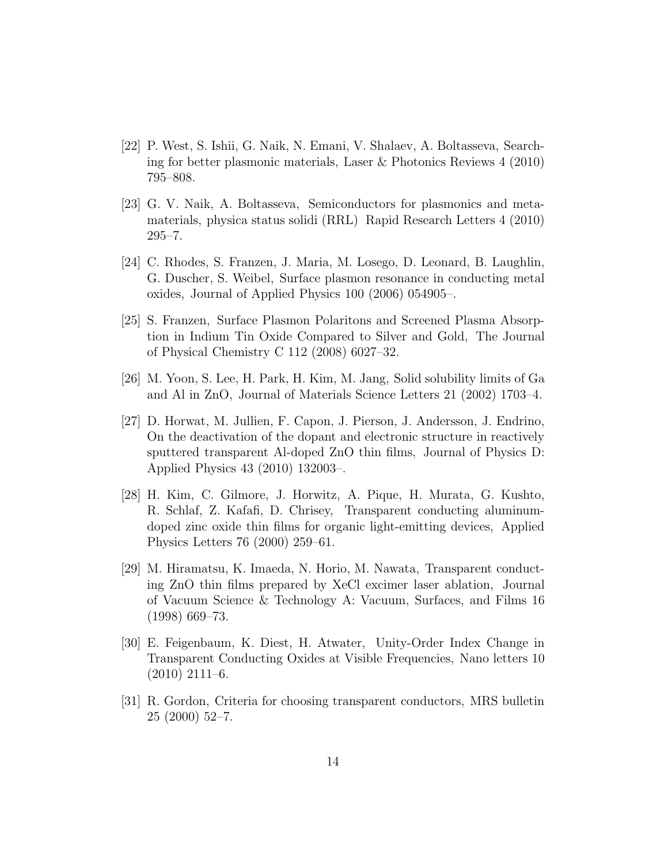- <span id="page-13-0"></span>[22] P. West, S. Ishii, G. Naik, N. Emani, V. Shalaev, A. Boltasseva, Searching for better plasmonic materials, Laser & Photonics Reviews 4 (2010) 795–808.
- <span id="page-13-1"></span>[23] G. V. Naik, A. Boltasseva, Semiconductors for plasmonics and metamaterials, physica status solidi (RRL) Rapid Research Letters 4 (2010) 295–7.
- <span id="page-13-2"></span>[24] C. Rhodes, S. Franzen, J. Maria, M. Losego, D. Leonard, B. Laughlin, G. Duscher, S. Weibel, Surface plasmon resonance in conducting metal oxides, Journal of Applied Physics 100 (2006) 054905–.
- <span id="page-13-3"></span>[25] S. Franzen, Surface Plasmon Polaritons and Screened Plasma Absorption in Indium Tin Oxide Compared to Silver and Gold, The Journal of Physical Chemistry C 112 (2008) 6027–32.
- <span id="page-13-4"></span>[26] M. Yoon, S. Lee, H. Park, H. Kim, M. Jang, Solid solubility limits of Ga and Al in ZnO, Journal of Materials Science Letters 21 (2002) 1703–4.
- <span id="page-13-5"></span>[27] D. Horwat, M. Jullien, F. Capon, J. Pierson, J. Andersson, J. Endrino, On the deactivation of the dopant and electronic structure in reactively sputtered transparent Al-doped ZnO thin films, Journal of Physics D: Applied Physics 43 (2010) 132003–.
- <span id="page-13-6"></span>[28] H. Kim, C. Gilmore, J. Horwitz, A. Pique, H. Murata, G. Kushto, R. Schlaf, Z. Kafafi, D. Chrisey, Transparent conducting aluminumdoped zinc oxide thin films for organic light-emitting devices, Applied Physics Letters 76 (2000) 259–61.
- <span id="page-13-7"></span>[29] M. Hiramatsu, K. Imaeda, N. Horio, M. Nawata, Transparent conducting ZnO thin films prepared by XeCl excimer laser ablation, Journal of Vacuum Science & Technology A: Vacuum, Surfaces, and Films 16 (1998) 669–73.
- <span id="page-13-8"></span>[30] E. Feigenbaum, K. Diest, H. Atwater, Unity-Order Index Change in Transparent Conducting Oxides at Visible Frequencies, Nano letters 10  $(2010)$  2111–6.
- <span id="page-13-9"></span>[31] R. Gordon, Criteria for choosing transparent conductors, MRS bulletin 25 (2000) 52–7.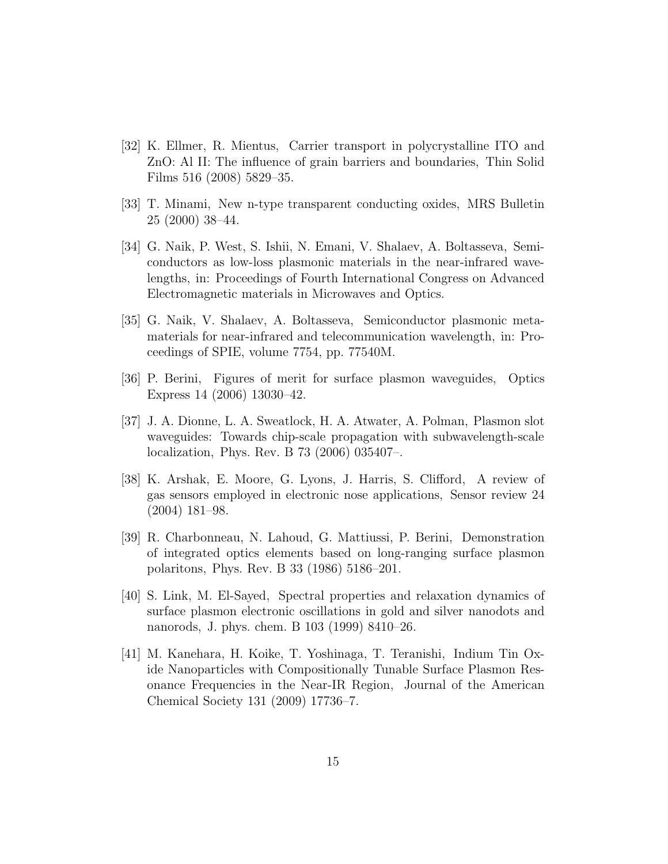- <span id="page-14-0"></span>[32] K. Ellmer, R. Mientus, Carrier transport in polycrystalline ITO and ZnO: Al II: The influence of grain barriers and boundaries, Thin Solid Films 516 (2008) 5829–35.
- <span id="page-14-1"></span>[33] T. Minami, New n-type transparent conducting oxides, MRS Bulletin 25 (2000) 38–44.
- <span id="page-14-2"></span>[34] G. Naik, P. West, S. Ishii, N. Emani, V. Shalaev, A. Boltasseva, Semiconductors as low-loss plasmonic materials in the near-infrared wavelengths, in: Proceedings of Fourth International Congress on Advanced Electromagnetic materials in Microwaves and Optics.
- <span id="page-14-3"></span>[35] G. Naik, V. Shalaev, A. Boltasseva, Semiconductor plasmonic metamaterials for near-infrared and telecommunication wavelength, in: Proceedings of SPIE, volume 7754, pp. 77540M.
- <span id="page-14-4"></span>[36] P. Berini, Figures of merit for surface plasmon waveguides, Optics Express 14 (2006) 13030–42.
- <span id="page-14-5"></span>[37] J. A. Dionne, L. A. Sweatlock, H. A. Atwater, A. Polman, Plasmon slot waveguides: Towards chip-scale propagation with subwavelength-scale localization, Phys. Rev. B 73 (2006) 035407–.
- <span id="page-14-6"></span>[38] K. Arshak, E. Moore, G. Lyons, J. Harris, S. Clifford, A review of gas sensors employed in electronic nose applications, Sensor review 24 (2004) 181–98.
- <span id="page-14-7"></span>[39] R. Charbonneau, N. Lahoud, G. Mattiussi, P. Berini, Demonstration of integrated optics elements based on long-ranging surface plasmon polaritons, Phys. Rev. B 33 (1986) 5186–201.
- <span id="page-14-8"></span>[40] S. Link, M. El-Sayed, Spectral properties and relaxation dynamics of surface plasmon electronic oscillations in gold and silver nanodots and nanorods, J. phys. chem. B 103 (1999) 8410–26.
- <span id="page-14-9"></span>[41] M. Kanehara, H. Koike, T. Yoshinaga, T. Teranishi, Indium Tin Oxide Nanoparticles with Compositionally Tunable Surface Plasmon Resonance Frequencies in the Near-IR Region, Journal of the American Chemical Society 131 (2009) 17736–7.